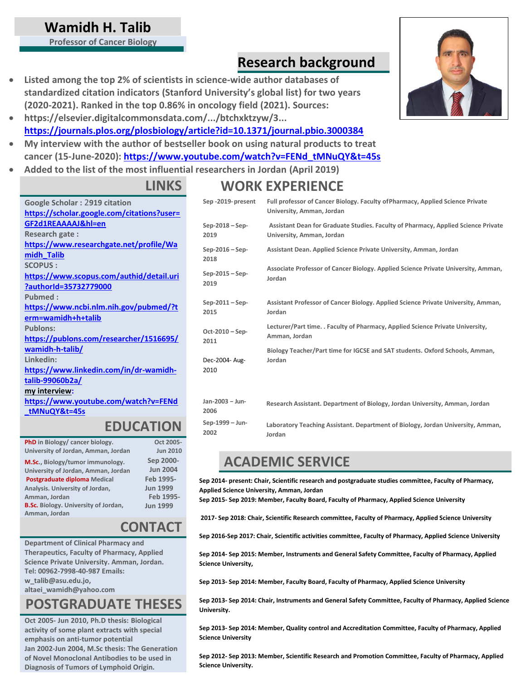### **Wamidh H. Talib**

**Professor of Cancer Biology**

### **Research background**

- **Listed among the top 2% of scientists in science-wide author databases of standardized citation indicators (Stanford University's global list) for two years (2020-2021). Ranked in the top 0.86% in oncology field (2021). Sources:**
- **https://elsevier.digitalcommonsdata.com/.../btchxktzyw/3... <https://journals.plos.org/plosbiology/article?id=10.1371/journal.pbio.3000384>**
- **My interview with the author of bestseller book on using natural products to treat cancer (15-June-2020): [https://www.youtube.com/watch?v=FENd\\_tMNuQY&t=45s](https://www.youtube.com/watch?v=FENd_tMNuQY&t=45s)**
- **Added to the list of the most influential researchers in Jordan (April 2019)**

#### **LINKS**

**Google Scholar :** 2**919 citation [https://scholar.google.com/citations?user=](https://scholar.google.com/citations?user=GF2d1REAAAAJ&hl=en) [GF2d1REAAAAJ&hl=en](https://scholar.google.com/citations?user=GF2d1REAAAAJ&hl=en) Research gate : [https://www.researchgate.net/profile/Wa](https://www.researchgate.net/profile/Wamidh_Talib) [midh\\_Talib](https://www.researchgate.net/profile/Wamidh_Talib) SCOPUS : [https://www.scopus.com/authid/detail.uri](https://www.scopus.com/authid/detail.uri?authorId=35732779000) [?authorId=35732779000](https://www.scopus.com/authid/detail.uri?authorId=35732779000) Pubmed : [https://www.ncbi.nlm.nih.gov/pubmed/?t](https://www.ncbi.nlm.nih.gov/pubmed/?term=wamidh%2Bh%2Btalib) [erm=wamidh+h+talib](https://www.ncbi.nlm.nih.gov/pubmed/?term=wamidh%2Bh%2Btalib) Publons: [https://publons.com/researcher/1516695/](https://publons.com/researcher/1516695/wamidh-h-talib/) [wamidh-h-talib/](https://publons.com/researcher/1516695/wamidh-h-talib/) Linkedin: [https://www.linkedin.com/in/dr-wamidh](https://www.linkedin.com/in/dr-wamidh-talib-99060b2a/)[talib-99060b2a/](https://www.linkedin.com/in/dr-wamidh-talib-99060b2a/) my interview: [https://www.youtube.com/watch?v=FENd](https://www.youtube.com/watch?v=FENd_tMNuQY&t=45s) [\\_tMNuQY&t=45s](https://www.youtube.com/watch?v=FENd_tMNuQY&t=45s)**

#### **EDUCATION**

| PhD in Biology/ cancer biology.             | Oct 2005-       |
|---------------------------------------------|-----------------|
| University of Jordan, Amman, Jordan         | <b>Jun 2010</b> |
| M.Sc., Biology/tumor immunology.            | Sep 2000-       |
| University of Jordan, Amman, Jordan         | <b>Jun 2004</b> |
| Postgraduate diploma Medical                | Feb 1995-       |
| Analysis. University of Jordan,             | <b>Jun 1999</b> |
| Amman, Jordan                               | Feb 1995-       |
| <b>B.Sc.</b> Biology. University of Jordan, | <b>Jun 1999</b> |
| Amman, Jordan                               |                 |

### **CONTACT**

**Department of Clinical Pharmacy and Therapeutics, Faculty of Pharmacy, Applied Science Private University. Amman, Jordan. Tel: 00962-7998-40-987 Emails: [w\\_talib@asu.edu.jo,](mailto:w_talib@asu.edu.jo)**

**[altaei\\_wamidh@yahoo.com](mailto:altaei_wamidh@yahoo.com)**

# **POSTGRADUATE THESES**

**Oct 2005- Jun 2010, Ph.D thesis: Biological activity of some plant extracts with special emphasis on anti-tumor potential Jan 2002-Jun 2004, M.Sc thesis: The Generation of Novel Monoclonal Antibodies to be used in Diagnosis of Tumors of Lymphoid Origin.**

# **WORK EXPERIENCE**

| Sep -2019-present       | Full professor of Cancer Biology. Faculty of Pharmacy, Applied Science Private<br>University, Amman, Jordan |
|-------------------------|-------------------------------------------------------------------------------------------------------------|
| $Sep-2018-Sep-$         | Assistant Dean for Graduate Studies. Faculty of Pharmacy, Applied Science Private                           |
| 2019                    | University, Amman, Jordan                                                                                   |
| $Sep-2016-Sep-$<br>2018 | Assistant Dean. Applied Science Private University, Amman, Jordan                                           |
| Sep-2015 - Sep-         | Associate Professor of Cancer Biology. Applied Science Private University, Amman,                           |
| 2019                    | Jordan                                                                                                      |
| $Sep-2011-Sep-$         | Assistant Professor of Cancer Biology. Applied Science Private University, Amman,                           |
| 2015                    | Jordan                                                                                                      |
| Oct-2010 - Sep-         | Lecturer/Part time. . Faculty of Pharmacy, Applied Science Private University,                              |
| 2011                    | Amman, Jordan                                                                                               |
| Dec-2004- Aug-          | Biology Teacher/Part time for IGCSE and SAT students. Oxford Schools, Amman,                                |
| 2010                    | Jordan                                                                                                      |
| Jan-2003 - Jun-<br>2006 | Research Assistant. Department of Biology, Jordan University, Amman, Jordan                                 |
| Sep-1999 - Jun-         | Laboratory Teaching Assistant. Department of Biology, Jordan University, Amman,                             |
| 2002                    | Jordan                                                                                                      |

### **ACADEMIC SERVICE**

**Sep 2014- present: Chair, Scientific research and postgraduate studies committee, Faculty of Pharmacy, Applied Science University, Amman, Jordan**

**Sep 2015- Sep 2019: Member, Faculty Board, Faculty of Pharmacy, Applied Science University**

**2017- Sep 2018: Chair, Scientific Research committee, Faculty of Pharmacy, Applied Science University** 

**Sep 2016-Sep 2017: Chair, Scientific activities committee, Faculty of Pharmacy, Applied Science University**

**Sep 2014- Sep 2015: Member, Instruments and General Safety Committee, Faculty of Pharmacy, Applied Science University,**

**Sep 2013- Sep 2014: Member, Faculty Board, Faculty of Pharmacy, Applied Science University**

**Sep 2013- Sep 2014: Chair, Instruments and General Safety Committee, Faculty of Pharmacy, Applied Science University.**

**Sep 2013- Sep 2014: Member, Quality control and Accreditation Committee, Faculty of Pharmacy, Applied Science University**

**Sep 2012- Sep 2013: Member, Scientific Research and Promotion Committee, Faculty of Pharmacy, Applied Science University.**

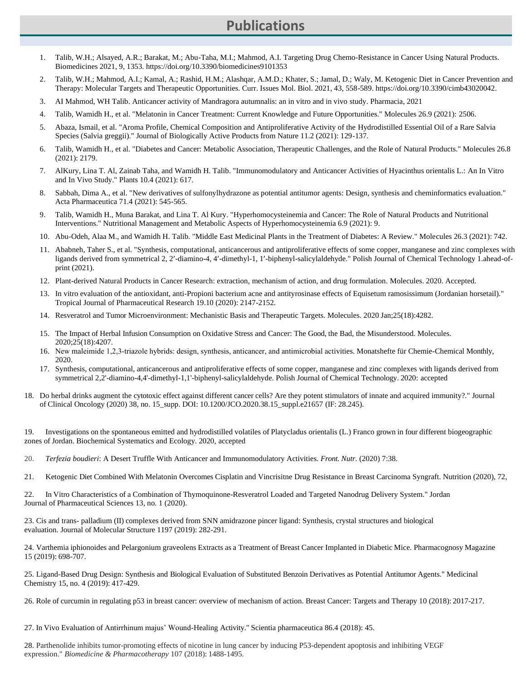#### **Publications**

- 1. Talib, W.H.; Alsayed, A.R.; Barakat, M.; Abu-Taha, M.I.; Mahmod, A.I. Targeting Drug Chemo-Resistance in Cancer Using Natural Products. Biomedicines 2021, 9, 1353. https://doi.org/10.3390/biomedicines9101353
- 2. Talib, W.H.; Mahmod, A.I.; Kamal, A.; Rashid, H.M.; Alashqar, A.M.D.; Khater, S.; Jamal, D.; Waly, M. Ketogenic Diet in Cancer Prevention and Therapy: Molecular Targets and Therapeutic Opportunities. Curr. Issues Mol. Biol. 2021, 43, 558-589. https://doi.org/10.3390/cimb43020042.
- 3. AI Mahmod, WH Talib. Anticancer activity of Mandragora autumnalis: an in vitro and in vivo study. Pharmacia, 2021
- 4. Talib, Wamidh H., et al. "Melatonin in Cancer Treatment: Current Knowledge and Future Opportunities." Molecules 26.9 (2021): 2506.
- 5. Abaza, Ismail, et al. "Aroma Profile, Chemical Composition and Antiproliferative Activity of the Hydrodistilled Essential Oil of a Rare Salvia Species (Salvia greggii)." Journal of Biologically Active Products from Nature 11.2 (2021): 129-137.
- 6. Talib, Wamidh H., et al. "Diabetes and Cancer: Metabolic Association, Therapeutic Challenges, and the Role of Natural Products." Molecules 26.8 (2021): 2179.
- 7. AlKury, Lina T. Al, Zainab Taha, and Wamidh H. Talib. "Immunomodulatory and Anticancer Activities of Hyacinthus orientalis L.: An In Vitro and In Vivo Study." Plants 10.4 (2021): 617.
- 8. Sabbah, Dima A., et al. "New derivatives of sulfonylhydrazone as potential antitumor agents: Design, synthesis and cheminformatics evaluation." Acta Pharmaceutica 71.4 (2021): 545-565.
- 9. Talib, Wamidh H., Muna Barakat, and Lina T. Al Kury. "Hyperhomocysteinemia and Cancer: The Role of Natural Products and Nutritional Interventions." Nutritional Management and Metabolic Aspects of Hyperhomocysteinemia 6.9 (2021): 9.
- 10. Abu-Odeh, Alaa M., and Wamidh H. Talib. "Middle East Medicinal Plants in the Treatment of Diabetes: A Review." Molecules 26.3 (2021): 742.
- 11. Ababneh, Taher S., et al. "Synthesis, computational, anticancerous and antiproliferative effects of some copper, manganese and zinc complexes with ligands derived from symmetrical 2, 2'-diamino-4, 4'-dimethyl-1, 1'-biphenyl-salicylaldehyde." Polish Journal of Chemical Technology 1.ahead-ofprint (2021).
- 12. Plant-derived Natural Products in Cancer Research: extraction, mechanism of action, and drug formulation. Molecules. 2020. Accepted.
- 13. In vitro evaluation of the antioxidant, anti-Propioni bacterium acne and antityrosinase effects of Equisetum ramosissimum (Jordanian horsetail)." Tropical Journal of Pharmaceutical Research 19.10 (2020): 2147-2152.
- 14. Resveratrol and Tumor Microenvironment: Mechanistic Basis and Therapeutic Targets. Molecules. 2020 Jan;25(18):4282.
- 15. The Impact of Herbal Infusion Consumption on Oxidative Stress and Cancer: The Good, the Bad, the Misunderstood. Molecules. 2020;25(18):4207.
- 16. New maleimide 1,2,3‑triazole hybrids: design, synthesis, anticancer, and antimicrobial activities. Monatshefte für Chemie-Chemical Monthly, 2020.
- 17. Synthesis, computational, anticancerous and antiproliferative effects of some copper, manganese and zinc complexes with ligands derived from symmetrical 2,2'-diamino-4,4'-dimethyl-1,1'-biphenyl-salicylaldehyde. Polish Journal of Chemical Technology. 2020: accepted
- 18. Do herbal drinks augment the cytotoxic effect against different cancer cells? Are they potent stimulators of innate and acquired immunity?." Journal of Clinical Oncology (2020) 38, no. 15\_supp. DOI: 10.1200/JCO.2020.38.15\_suppl.e21657 (IF: 28.245).

19. Investigations on the spontaneous emitted and hydrodistilled volatiles of Platycladus orientalis (L.) Franco grown in four different biogeographic zones of Jordan. Biochemical Systematics and Ecology. 2020, accepted

- 20. *Terfezia boudieri*: A Desert Truffle With Anticancer and Immunomodulatory Activities. *Front. Nutr.* (2020) 7:38.
- 21. Ketogenic Diet Combined With Melatonin Overcomes Cisplatin and Vincrisitne Drug Resistance in Breast Carcinoma Syngraft. Nutrition (2020), 72,

22. In Vitro Characteristics of a Combination of Thymoquinone-Resveratrol Loaded and Targeted Nanodrug Delivery System." Jordan Journal of Pharmaceutical Sciences 13, no. 1 (2020).

23. Cis and trans- palladium (II) complexes derived from SNN amidrazone pincer ligand: Synthesis, crystal structures and biological evaluation. Journal of Molecular Structure 1197 (2019): 282-291.

24. Varthemia iphionoides and Pelargonium graveolens Extracts as a Treatment of Breast Cancer Implanted in Diabetic Mice. Pharmacognosy Magazine 15 (2019): 698-707.

25. Ligand-Based Drug Design: Synthesis and Biological Evaluation of Substituted Benzoin Derivatives as Potential Antitumor Agents." Medicinal Chemistry 15, no. 4 (2019): 417-429.

26. Role of curcumin in regulating p53 in breast cancer: overview of mechanism of action. Breast Cancer: Targets and Therapy 10 (2018): 2017-217.

27. In Vivo Evaluation of Antirrhinum majus' Wound-Healing Activity." Scientia pharmaceutica 86.4 (2018): 45.

28. Parthenolide inhibits tumor-promoting effects of nicotine in lung cancer by inducing P53-dependent apoptosis and inhibiting VEGF expression." *Biomedicine & Pharmacotherapy* 107 (2018): 1488-1495.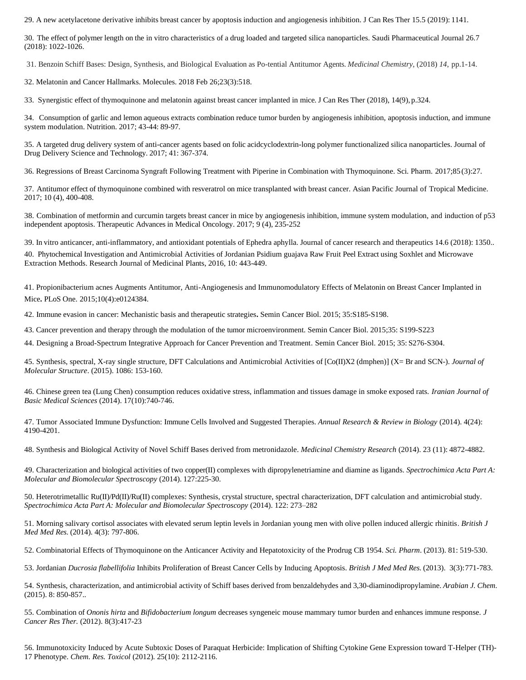29. A new acetylacetone derivative inhibits breast cancer by apoptosis induction and angiogenesis inhibition. J Can Res Ther 15.5 (2019): 1141.

30. The effect of polymer length on the in vitro characteristics of a drug loaded and targeted silica nanoparticles. Saudi Pharmaceutical Journal 26.7 (2018): 1022-1026.

31. Benzoin Schiff Bases: Design, Synthesis, and Biological Evaluation as Po-tential Antitumor Agents. *Medicinal Chemistry*, (2018) *14*, pp.1-14.

32. Melatonin and Cancer Hallmarks. Molecules. 2018 Feb 26;23(3):518.

33. Synergistic effect of thymoquinone and melatonin against breast cancer implanted in mice. J Can Res Ther (2018), 14(9), p.324.

34. Consumption of garlic and lemon aqueous extracts combination reduce tumor burden by angiogenesis inhibition, apoptosis induction, and immune system modulation. Nutrition. 2017; 43-44: 89-97.

35. A targeted drug delivery system of anti-cancer agents based on folic acidcyclodextrin-long polymer functionalized silica nanoparticles. Journal of Drug Delivery Science and Technology. 2017; 41: 367-374.

36. Regressions of Breast Carcinoma Syngraft Following Treatment with Piperine in Combination with Thymoquinone. Sci. Pharm. 2017;85 (3):27.

37. Antitumor effect of thymoquinone combined with resveratrol on mice transplanted with breast cancer. Asian Pacific Journal of Tropical Medicine. 2017; 10 (4), 400-408.

38. Combination of metformin and curcumin targets breast cancer in mice by angiogenesis inhibition, immune system modulation, and induction of p53 independent apoptosis. Therapeutic Advances in Medical Oncology. 2017; 9 (4), 235-252

39. In vitro anticancer, anti-inflammatory, and antioxidant potentials of Ephedra aphylla. Journal of cancer research and therapeutics 14.6 (2018): 1350..

40. Phytochemical Investigation and Antimicrobial Activities of Jordanian Psidium guajava Raw Fruit Peel Extract using Soxhlet and Microwave Extraction Methods. Research Journal of Medicinal Plants, 2016, 10: 443-449.

41. Propionibacterium acnes Augments Antitumor, Anti-Angiogenesis and Immunomodulatory Effects of Melatonin on Breast Cancer Implanted in Mice**.** [PLoS One.](http://www.ncbi.nlm.nih.gov/pubmed/25919398) 2015;10(4):e0124384.

42. Immune evasion in cancer: Mechanistic basis and therapeutic strategies**.** [Semin Cancer Biol. 2](http://www.ncbi.nlm.nih.gov/pubmed/25818339)015; 35:S185-S198.

43. Cancer prevention and therapy through the modulation of the tumor microenvironment[. Semin Cancer Biol. 2](http://www.ncbi.nlm.nih.gov/pubmed/25818339)015;35: S199-S223

44. Designing a Broad-Spectrum Integrative Approach for Cancer Prevention and Treatment. [Semin Cancer Biol. 2](http://www.ncbi.nlm.nih.gov/pubmed/25818339)015; 35: S276-S304.

45. Synthesis, spectral, X-ray single structure, DFT Calculations and Antimicrobial Activities of [Co(II)X2 (dmphen)] (X= Br and SCN-). *Journal of Molecular Structure*. (2015). 1086: 153-160.

46. Chinese green tea (Lung Chen) consumption reduces oxidative stress, inflammation and tissues damage in smoke exposed rats. *Iranian Journal of Basic Medical Sciences* (2014). 17(10):740-746.

47. Tumor Associated Immune Dysfunction: Immune Cells Involved and Suggested Therapies. *Annual Research & Review in Biology* (2014). 4(24): 4190-4201.

48. [Synthesis and Biological Activity of Novel Schiff Bases derived from metronidazole.](https://www.researchgate.net/researcher/2049746987_Nabil_E_Kassan) *Medicinal Chemistry Research* (2014). 23 [\(11\):](http://link.springer.com/journal/44/23/11/page/1) 4872-4882.

49. Characterization and biological activities of two copper(II) complexes with dipropylenetriamine and diamine as ligands. *Spectrochimica Acta Part A: Molecular and Biomolecular Spectroscopy* (2014). 127:225-30.

50. Heterotrimetallic Ru(II)/Pd(II)/Ru(II) complexes: Synthesis, crystal structure, spectral characterization, DFT calculation and antimicrobial study. *Spectrochimica Acta Part A: Molecular and Biomolecular Spectroscopy* (2014). 122: 273–282

51. Morning salivary cortisol associates with elevated serum leptin levels in Jordanian young men with olive pollen induced allergic rhinitis. *British J Med Med Res*. (2014). 4(3): 797-806.

52. Combinatorial Effects of Thymoquinone on the Anticancer Activity and Hepatotoxicity of the Prodrug CB 1954. *Sci. Pharm*. (2013). 81: 519-530.

53. Jordanian *Ducrosia flabellifolia* Inhibits Proliferation of Breast Cancer Cells by Inducing Apoptosis. *British J Med Med Res*. (2013). 3(3):771-783.

54. Synthesis, characterization, and antimicrobial activity of Schiff bases derived from benzaldehydes and 3,30-diaminodipropylamine. *Arabian J. Chem*. (2015). 8: 850-857..

55. Combination of *Ononis hirta* and *Bifidobacterium longum* decreases syngeneic mouse mammary tumor burden and enhances immune response. *[J](http://www.ncbi.nlm.nih.gov/pubmed/23174725) [Cancer Res Ther.](http://www.ncbi.nlm.nih.gov/pubmed/23174725)* (2012). 8(3):417-23

56. Immunotoxicity Induced by Acute Subtoxic Doses of Paraquat Herbicide: Implication of Shifting Cytokine Gene Expression toward T-Helper (TH)- 17 Phenotype. *Chem. Res. Toxicol* (2012). 25(10): 2112-2116.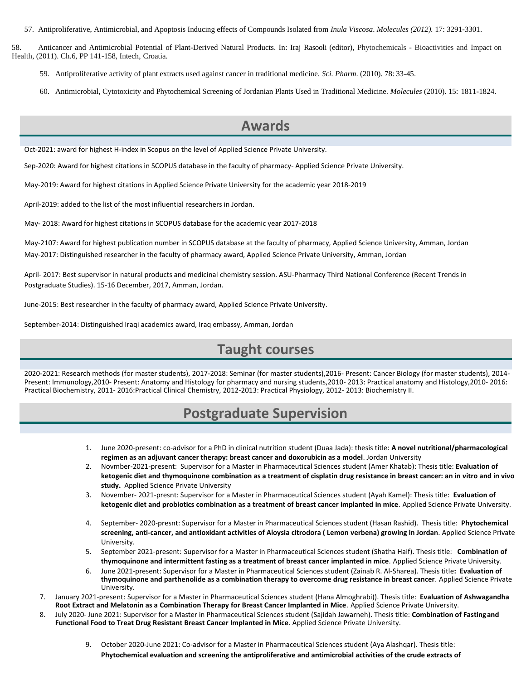57. Antiproliferative, Antimicrobial, and Apoptosis Inducing effects of Compounds Isolated from *Inula Viscosa*. *Molecules (2012).* 17: 3291-3301.

58. Anticancer and Antimicrobial Potential of Plant-Derived Natural Products. In: Iraj Rasooli (editor), Phytochemicals - Bioactivities and Impact on Health, (2011). Ch.6, PP 141-158, Intech, Croatia.

- 59. Antiproliferative activity of plant extracts used against cancer in traditional medicine. *Sci. Pharm*. (2010). 78: 33-45.
- 60. Antimicrobial, Cytotoxicity and Phytochemical Screening of Jordanian Plants Used in Traditional Medicine. *Molecules* (2010). 15: 1811-1824.

#### **Awards**

Oct-2021: award for highest H-index in Scopus on the level of Applied Science Private University.

Sep-2020: Award for highest citations in SCOPUS database in the faculty of pharmacy- Applied Science Private University.

May-2019: Award for highest citations in Applied Science Private University for the academic year 2018-2019

April-2019: added to the list of the most influential researchers in Jordan.

May- 2018: Award for highest citations in SCOPUS database for the academic year 2017-2018

May-2107: Award for highest publication number in SCOPUS database at the faculty of pharmacy, Applied Science University, Amman, Jordan May-2017: Distinguished researcher in the faculty of pharmacy award, Applied Science Private University, Amman, Jordan

April- 2017: Best supervisor in natural products and medicinal chemistry session. ASU-Pharmacy Third National Conference (Recent Trends in Postgraduate Studies). 15-16 December, 2017, Amman, Jordan.

June-2015: Best researcher in the faculty of pharmacy award, Applied Science Private University.

September-2014: Distinguished Iraqi academics award, Iraq embassy, Amman, Jordan

### **Taught courses**

2020-2021: Research methods (for master students), 2017-2018: Seminar (for master students),2016- Present: Cancer Biology (for master students), 2014- Present: Immunology,2010- Present: Anatomy and Histology for pharmacy and nursing students,2010- 2013: Practical anatomy and Histology,2010- 2016: Practical Biochemistry, 2011- 2016:Practical Clinical Chemistry, 2012-2013: Practical Physiology, 2012- 2013: Biochemistry II.

# **Postgraduate Supervision**

- 1. June 2020-present: co-advisor for a PhD in clinical nutrition student (Duaa Jada): thesis title: **A novel nutritional/pharmacological regimen as an adjuvant cancer therapy: breast cancer and doxorubicin as a model**. Jordan University
- 2. Novmber-2021-present: Supervisor for a Master in Pharmaceutical Sciences student (Amer Khatab): Thesis title: **Evaluation of ketogenic diet and thymoquinone combination as a treatment of cisplatin drug resistance in breast cancer: an in vitro and in vivo study.** Applied Science Private University
- 3. November- 2021-presnt: Supervisor for a Master in Pharmaceutical Sciences student (Ayah Kamel): Thesis title: **Evaluation of ketogenic diet and probiotics combination as a treatment of breast cancer implanted in mice**. Applied Science Private University.
- 4. September- 2020-presnt: Supervisor for a Master in Pharmaceutical Sciences student (Hasan Rashid). Thesis title: **Phytochemical screening, anti-cancer, and antioxidant activities of Aloysia citrodora ( Lemon verbena) growing in Jordan**. Applied Science Private University.
- 5. September 2021-present: Supervisor for a Master in Pharmaceutical Sciences student (Shatha Haif). Thesis title: **Combination of thymoquinone and intermittent fasting as a treatment of breast cancer implanted in mice**. Applied Science Private University.
- 6. June 2021-present: Supervisor for a Master in Pharmaceutical Sciences student (Zainab R. Al-Sharea). Thesis title**: Evaluation of thymoquinone and parthenolide as a combination therapy to overcome drug resistance in breast cancer**. Applied Science Private University.
- 7. January 2021-present: Supervisor for a Master in Pharmaceutical Sciences student (Hana Almoghrabi)). Thesis title: **Evaluation of Ashwagandha Root Extract and Melatonin as a Combination Therapy for Breast Cancer Implanted in Mice**. Applied Science Private University.
- 8. July 2020- June 2021: Supervisor for a Master in Pharmaceutical Sciences student (Sajidah Jawarneh). Thesis title: **Combination of Fastingand Functional Food to Treat Drug Resistant Breast Cancer Implanted in Mice**. Applied Science Private University.
	- 9. October 2020-June 2021: Co-advisor for a Master in Pharmaceutical Sciences student (Aya Alashqar). Thesis title: **Phytochemical evaluation and screening the antiproliferative and antimicrobial activities of the crude extracts of**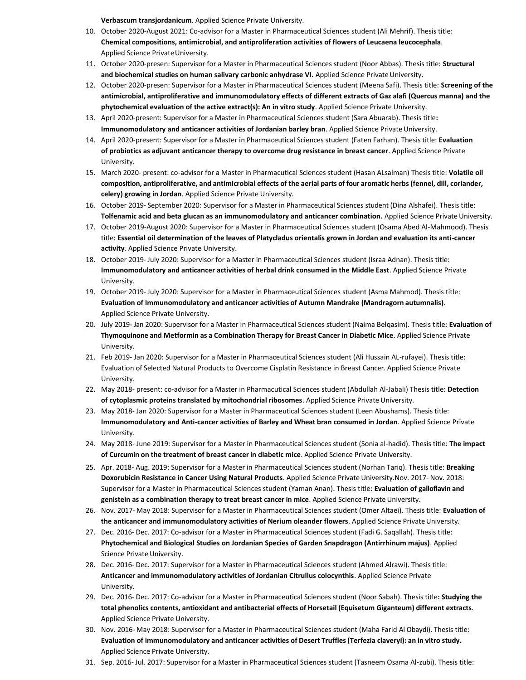**Verbascum transjordanicum**. Applied Science Private University.

- 10. October 2020-August 2021: Co-advisor for a Master in Pharmaceutical Sciences student (Ali Mehrif). Thesis title: **Chemical compositions, antimicrobial, and antiproliferation activities of flowers of Leucaena leucocephala**. Applied Science Private University.
- 11. October 2020-presen: Supervisor for a Master in Pharmaceutical Sciences student (Noor Abbas). Thesis title: **Structural**  and biochemical studies on human salivary carbonic anhydrase VI. Applied Science Private University.
- 12. October 2020-presen: Supervisor for a Master in Pharmaceutical Sciences student (Meena Safi). Thesis title: **Screening of the antimicrobial, antiproliferative and immunomodulatory effects of different extracts of Gaz alafi (Quercus manna) and the phytochemical evaluation of the active extract(s): An in vitro study**. Applied Science Private University.
- 13. April 2020-present: Supervisor for a Master in Pharmaceutical Sciences student (Sara Abuarab). Thesis title**: Immunomodulatory and anticancer activities of Jordanian barley bran**. Applied Science Private University.
- 14. April 2020-present: Supervisor for a Master in Pharmaceutical Sciences student (Faten Farhan). Thesis title: **Evaluation of probiotics as adjuvant anticancer therapy to overcome drug resistance in breast cancer**. Applied Science Private University.
- 15. March 2020- present: co-advisor for a Master in Pharmacutical Sciences student (Hasan ALsalman) Thesis title: **Volatile oil composition, antiproliferative, and antimicrobial effects of the aerial parts of four aromatic herbs (fennel, dill, coriander, celery) growing in Jordan**. Applied Science Private University.
- 16. October 2019- September 2020: Supervisor for a Master in Pharmaceutical Sciences student (Dina Alshafei). Thesis title: **Tolfenamic acid and beta glucan as an immunomodulatory and anticancer combination.** Applied Science Private University.
- 17. October 2019-August 2020: Supervisor for a Master in Pharmaceutical Sciences student (Osama Abed Al-Mahmood). Thesis title: **Essential oil determination of the leaves of Platycladus orientalis grown in Jordan and evaluation its anti-cancer activity**. Applied Science Private University.
- 18. October 2019- July 2020: Supervisor for a Master in Pharmaceutical Sciences student (Israa Adnan). Thesis title: **Immunomodulatory and anticancer activities of herbal drink consumed in the Middle East**. Applied Science Private University.
- 19. October 2019- July 2020: Supervisor for a Master in Pharmaceutical Sciences student (Asma Mahmod). Thesis title: **Evaluation of Immunomodulatory and anticancer activities of Autumn Mandrake (Mandragorn autumnalis)**. Applied Science Private University.
- 20. July 2019- Jan 2020: Supervisor for a Master in Pharmaceutical Sciences student (Naima Belqasim). Thesis title: **Evaluation of Thymoquinone and Metformin as a Combination Therapy for Breast Cancer in Diabetic Mice**. Applied Science Private University.
- 21. Feb 2019- Jan 2020: Supervisor for a Master in Pharmaceutical Sciences student (Ali Hussain AL-rufayei). Thesis title: Evaluation of Selected Natural Products to Overcome Cisplatin Resistance in Breast Cancer. Applied Science Private University.
- 22. May 2018- present: co-advisor for a Master in Pharmacutical Sciences student (Abdullah Al-Jabali) Thesis title: **Detection of cytoplasmic proteins translated by mitochondrial ribosomes**. Applied Science Private University.
- 23. May 2018- Jan 2020: Supervisor for a Master in Pharmaceutical Sciences student (Leen Abushams). Thesis title: **Immunomodulatory and Anti-cancer activities of Barley and Wheat bran consumed in Jordan**. Applied Science Private University.
- 24. May 2018- June 2019: Supervisor for a Master in Pharmaceutical Sciences student (Sonia al-hadid). Thesis title: **The impact of Curcumin on the treatment of breast cancer in diabetic mice**. Applied Science Private University.
- 25. Apr. 2018- Aug. 2019: Supervisor for a Master in Pharmaceutical Sciences student (Norhan Tariq). Thesis title: **Breaking Doxorubicin Resistance in Cancer Using Natural Products**. Applied Science Private University.Nov. 2017- Nov. 2018: Supervisor for a Master in Pharmaceutical Sciences student (Yaman Anan). Thesis title: **Evaluation of galloflavin and genistein as a combination therapy to treat breast cancer in mice**. Applied Science Private University.
- 26. Nov. 2017- May 2018: Supervisor for a Master in Pharmaceutical Sciences student (Omer Altaei). Thesis title: **Evaluation of the anticancer and immunomodulatory activities of Nerium oleander flowers**. Applied Science PrivateUniversity.
- 27. Dec. 2016- Dec. 2017: Co-advisor for a Master in Pharmaceutical Sciences student (Fadi G. Saqallah). Thesis title: **Phytochemical and Biological Studies on Jordanian Species of Garden Snapdragon (Antirrhinum majus)**. Applied Science Private University.
- 28. Dec. 2016- Dec. 2017: Supervisor for a Master in Pharmaceutical Sciences student (Ahmed Alrawi). Thesis title: **Anticancer and immunomodulatory activities of Jordanian Citrullus colocynthis**. Applied Science Private University.
- 29. Dec. 2016- Dec. 2017: Co-advisor for a Master in Pharmaceutical Sciences student (Noor Sabah). Thesis title**: Studying the total phenolics contents, antioxidant and antibacterial effects of Horsetail (Equisetum Giganteum) different extracts**. Applied Science Private University.
- 30. Nov. 2016- May 2018: Supervisor for a Master in Pharmaceutical Sciences student (Maha Farid Al Obaydi). Thesis title: **Evaluation of immunomodulatory and anticancer activities of Desert Truffles(Terfezia claveryi): an in vitro study.** Applied Science Private University.
- 31. Sep. 2016- Jul. 2017: Supervisor for a Master in Pharmaceutical Sciences student (Tasneem Osama Al-zubi). Thesis title: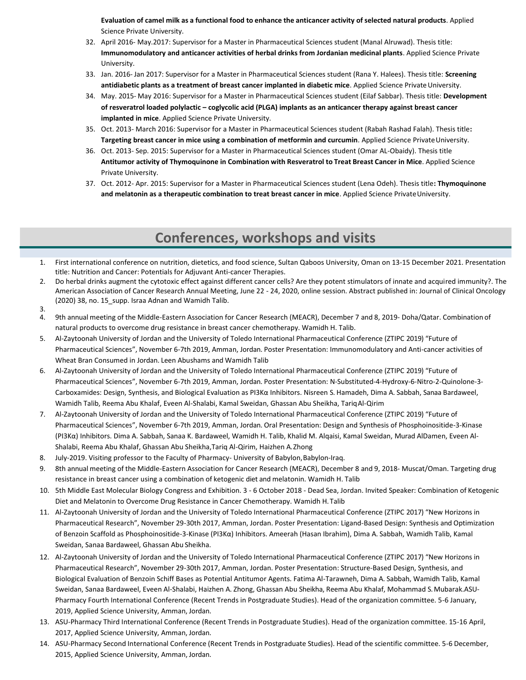**Evaluation of camel milk as a functional food to enhance the anticancer activity of selected natural products**. Applied Science Private University.

- 32. April 2016- May.2017: Supervisor for a Master in Pharmaceutical Sciences student (Manal Alruwad). Thesis title: **Immunomodulatory and anticancer activities of herbal drinks from Jordanian medicinal plants**. Applied Science Private University.
- 33. Jan. 2016- Jan 2017: Supervisor for a Master in Pharmaceutical Sciences student (Rana Y. Halees). Thesis title: **Screening**  antidiabetic plants as a treatment of breast cancer implanted in diabetic mice. Applied Science Private University.
- 34. May. 2015- May 2016: Supervisor for a Master in Pharmaceutical Sciences student (Eilaf Sabbar). Thesis title: **Development of resveratrol loaded polylactic – coglycolic acid (PLGA) implants as an anticancer therapy against breast cancer implanted in mice**. Applied Science Private University.
- 35. Oct. 2013- March 2016: Supervisor for a Master in Pharmaceutical Sciences student (Rabah Rashad Falah). Thesis title**: Targeting breast cancer in mice using a combination of metformin and curcumin**. Applied Science PrivateUniversity.
- 36. Oct. 2013- Sep. 2015: Supervisor for a Master in Pharmaceutical Sciences student (Omar AL-Obaidy). Thesis title **Antitumor activity of Thymoquinone in Combination with Resveratrol to Treat Breast Cancer in Mice**. Applied Science Private University.
- 37. Oct. 2012- Apr. 2015: Supervisor for a Master in Pharmaceutical Sciences student (Lena Odeh). Thesis title**: Thymoquinone**  and melatonin as a therapeutic combination to treat breast cancer in mice. Applied Science Private University.

# **Conferences, workshops and visits**

- 1. First international conference on nutrition, dietetics, and food science, Sultan Qaboos University, Oman on 13-15 December 2021. Presentation title: Nutrition and Cancer: Potentials for Adjuvant Anti-cancer Therapies.
- 2. Do herbal drinks augment the cytotoxic effect against different cancer cells? Are they potent stimulators of innate and acquired immunity?. The American Association of Cancer Research Annual Meeting, June 22 - 24, 2020, online session. Abstract published in: Journal of Clinical Oncology (2020) 38, no. 15 supp. Israa Adnan and Wamidh Talib.
- 3.
- 4. 9th annual meeting of the Middle-Eastern Association for Cancer Research (MEACR), December 7 and 8, 2019- Doha/Qatar. Combination of natural products to overcome drug resistance in breast cancer chemotherapy. Wamidh H. Talib.
- 5. Al-Zaytoonah University of Jordan and the University of Toledo International Pharmaceutical Conference (ZTIPC 2019) "Future of Pharmaceutical Sciences", November 6-7th 2019, Amman, Jordan. Poster Presentation: Immunomodulatory and Anti-cancer activities of Wheat Bran Consumed in Jordan. Leen Abushams and Wamidh Talib
- 6. Al-Zaytoonah University of Jordan and the University of Toledo International Pharmaceutical Conference (ZTIPC 2019) "Future of Pharmaceutical Sciences", November 6-7th 2019, Amman, Jordan. Poster Presentation: N-Substituted-4-Hydroxy-6-Nitro-2-Quinolone-3- Carboxamides: Design, Synthesis, and Biological Evaluation as PI3Kα Inhibitors. Nisreen S. Hamadeh, Dima A. Sabbah, Sanaa Bardaweel, Wamidh Talib, Reema Abu Khalaf, Eveen Al-Shalabi, Kamal Sweidan, Ghassan Abu Sheikha, TariqAl-Qirim
- 7. Al-Zaytoonah University of Jordan and the University of Toledo International Pharmaceutical Conference (ZTIPC 2019) "Future of Pharmaceutical Sciences", November 6-7th 2019, Amman, Jordan. Oral Presentation: Design and Synthesis of Phosphoinositide-3-Kinase (PI3Kα) Inhibitors. Dima A. Sabbah, Sanaa K. Bardaweel, Wamidh H. Talib, Khalid M. Alqaisi, Kamal Sweidan, Murad AlDamen, Eveen Al-Shalabi, Reema Abu Khalaf, Ghassan Abu Sheikha,Tariq Al-Qirim, Haizhen A.Zhong
- 8. July-2019. Visiting professor to the Faculty of Pharmacy- University of Babylon,Babylon-Iraq.
- 9. 8th annual meeting of the Middle-Eastern Association for Cancer Research (MEACR), December 8 and 9, 2018- Muscat/Oman. Targeting drug resistance in breast cancer using a combination of ketogenic diet and melatonin. Wamidh H. Talib
- 10. 5th Middle East Molecular Biology Congress and Exhibition. 3 6 October 2018 Dead Sea, Jordan. Invited Speaker: Combination of Ketogenic Diet and Melatonin to Overcome Drug Resistance in Cancer Chemotherapy. Wamidh H.Talib
- 11. Al-Zaytoonah University of Jordan and the University of Toledo International Pharmaceutical Conference (ZTIPC 2017) "New Horizons in Pharmaceutical Research", November 29-30th 2017, Amman, Jordan. Poster Presentation: Ligand-Based Design: Synthesis and Optimization of Benzoin Scaffold as Phosphoinositide-3-Kinase (PI3Kα) Inhibitors. Ameerah (Hasan Ibrahim), Dima A. Sabbah, Wamidh Talib, Kamal Sweidan, Sanaa Bardaweel, Ghassan Abu Sheikha.
- 12. Al-Zaytoonah University of Jordan and the University of Toledo International Pharmaceutical Conference (ZTIPC 2017) "New Horizons in Pharmaceutical Research", November 29-30th 2017, Amman, Jordan. Poster Presentation: Structure-Based Design, Synthesis, and Biological Evaluation of Benzoin Schiff Bases as Potential Antitumor Agents. Fatima Al-Tarawneh, Dima A. Sabbah, Wamidh Talib, Kamal Sweidan, Sanaa Bardaweel, Eveen Al-Shalabi, Haizhen A. Zhong, Ghassan Abu Sheikha, Reema Abu Khalaf, Mohammad S.Mubarak.ASU-Pharmacy Fourth International Conference (Recent Trends in Postgraduate Studies). Head of the organization committee. 5-6 January, 2019, Applied Science University, Amman, Jordan.
- 13. ASU-Pharmacy Third International Conference (Recent Trends in Postgraduate Studies). Head of the organization committee. 15-16 April, 2017, Applied Science University, Amman, Jordan.
- 14. ASU-Pharmacy Second International Conference (Recent Trends in Postgraduate Studies). Head of the scientific committee. 5-6 December, 2015, Applied Science University, Amman, Jordan.